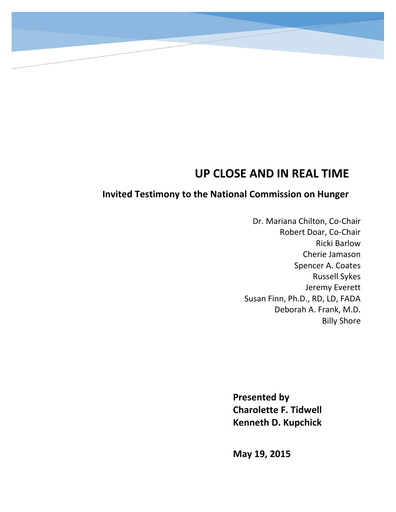# **UP CLOSE AND IN REAL TIME**

# **Invited Testimony to the National Commission on Hunger**

Dr. Mariana Chilton, Co-Chair Robert Doar, Co-Chair Ricki Barlow Cherie Jamason Spencer A. Coates Russell Sykes Jeremy Everett Susan Finn, Ph.D., RD, LD, FADA Deborah A. Frank, M.D. Billy Shore

**Presented by Charolette F. Tidwell Kenneth D. Kupchick**

**May 19, 2015**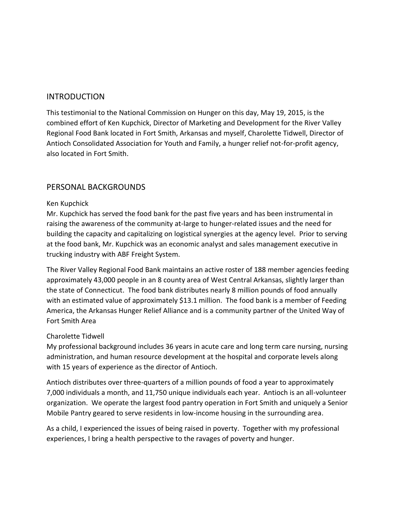#### INTRODUCTION

This testimonial to the National Commission on Hunger on this day, May 19, 2015, is the combined effort of Ken Kupchick, Director of Marketing and Development for the River Valley Regional Food Bank located in Fort Smith, Arkansas and myself, Charolette Tidwell, Director of Antioch Consolidated Association for Youth and Family, a hunger relief not-for-profit agency, also located in Fort Smith.

#### PERSONAL BACKGROUNDS

#### Ken Kupchick

Mr. Kupchick has served the food bank for the past five years and has been instrumental in raising the awareness of the community at-large to hunger-related issues and the need for building the capacity and capitalizing on logistical synergies at the agency level. Prior to serving at the food bank, Mr. Kupchick was an economic analyst and sales management executive in trucking industry with ABF Freight System.

The River Valley Regional Food Bank maintains an active roster of 188 member agencies feeding approximately 43,000 people in an 8 county area of West Central Arkansas, slightly larger than the state of Connecticut. The food bank distributes nearly 8 million pounds of food annually with an estimated value of approximately \$13.1 million. The food bank is a member of Feeding America, the Arkansas Hunger Relief Alliance and is a community partner of the United Way of Fort Smith Area

#### Charolette Tidwell

My professional background includes 36 years in acute care and long term care nursing, nursing administration, and human resource development at the hospital and corporate levels along with 15 years of experience as the director of Antioch.

Antioch distributes over three-quarters of a million pounds of food a year to approximately 7,000 individuals a month, and 11,750 unique individuals each year. Antioch is an all-volunteer organization. We operate the largest food pantry operation in Fort Smith and uniquely a Senior Mobile Pantry geared to serve residents in low-income housing in the surrounding area.

As a child, I experienced the issues of being raised in poverty. Together with my professional experiences, I bring a health perspective to the ravages of poverty and hunger.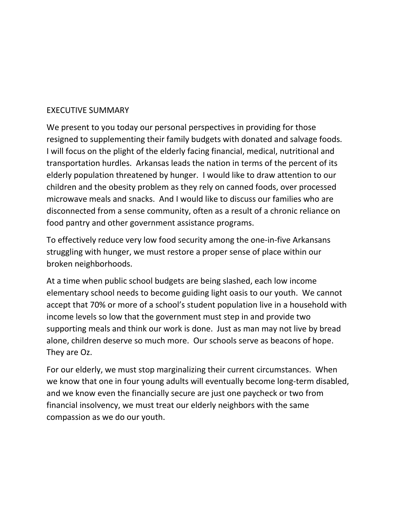#### EXECUTIVE SUMMARY

We present to you today our personal perspectives in providing for those resigned to supplementing their family budgets with donated and salvage foods. I will focus on the plight of the elderly facing financial, medical, nutritional and transportation hurdles. Arkansas leads the nation in terms of the percent of its elderly population threatened by hunger. I would like to draw attention to our children and the obesity problem as they rely on canned foods, over processed microwave meals and snacks. And I would like to discuss our families who are disconnected from a sense community, often as a result of a chronic reliance on food pantry and other government assistance programs.

To effectively reduce very low food security among the one-in-five Arkansans struggling with hunger, we must restore a proper sense of place within our broken neighborhoods.

At a time when public school budgets are being slashed, each low income elementary school needs to become guiding light oasis to our youth. We cannot accept that 70% or more of a school's student population live in a household with income levels so low that the government must step in and provide two supporting meals and think our work is done. Just as man may not live by bread alone, children deserve so much more. Our schools serve as beacons of hope. They are Oz.

For our elderly, we must stop marginalizing their current circumstances. When we know that one in four young adults will eventually become long-term disabled, and we know even the financially secure are just one paycheck or two from financial insolvency, we must treat our elderly neighbors with the same compassion as we do our youth.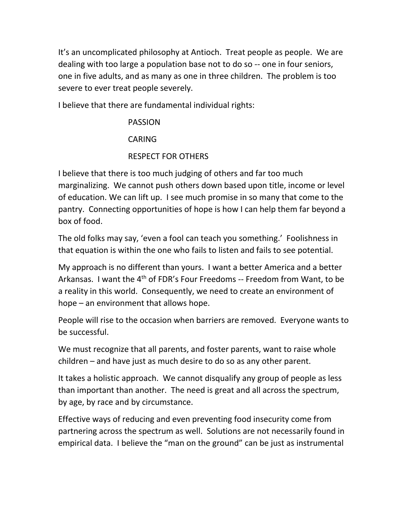It's an uncomplicated philosophy at Antioch. Treat people as people. We are dealing with too large a population base not to do so -- one in four seniors, one in five adults, and as many as one in three children. The problem is too severe to ever treat people severely.

I believe that there are fundamental individual rights:

# PASSION CARING

# RESPECT FOR OTHERS

I believe that there is too much judging of others and far too much marginalizing. We cannot push others down based upon title, income or level of education. We can lift up. I see much promise in so many that come to the pantry. Connecting opportunities of hope is how I can help them far beyond a box of food.

The old folks may say, 'even a fool can teach you something.' Foolishness in that equation is within the one who fails to listen and fails to see potential.

My approach is no different than yours. I want a better America and a better Arkansas. I want the 4<sup>th</sup> of FDR's Four Freedoms -- Freedom from Want, to be a reality in this world. Consequently, we need to create an environment of hope – an environment that allows hope.

People will rise to the occasion when barriers are removed. Everyone wants to be successful.

We must recognize that all parents, and foster parents, want to raise whole children – and have just as much desire to do so as any other parent.

It takes a holistic approach. We cannot disqualify any group of people as less than important than another. The need is great and all across the spectrum, by age, by race and by circumstance.

Effective ways of reducing and even preventing food insecurity come from partnering across the spectrum as well. Solutions are not necessarily found in empirical data. I believe the "man on the ground" can be just as instrumental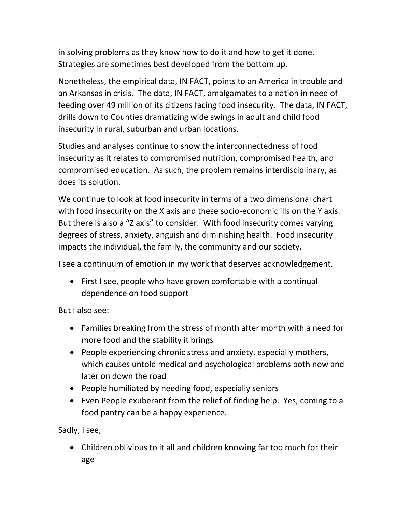in solving problems as they know how to do it and how to get it done. Strategies are sometimes best developed from the bottom up.

Nonetheless, the empirical data, IN FACT, points to an America in trouble and an Arkansas in crisis. The data, IN FACT, amalgamates to a nation in need of feeding over 49 million of its citizens facing food insecurity. The data, IN FACT, drills down to Counties dramatizing wide swings in adult and child food insecurity in rural, suburban and urban locations.

Studies and analyses continue to show the interconnectedness of food insecurity as it relates to compromised nutrition, compromised health, and compromised education. As such, the problem remains interdisciplinary, as does its solution.

We continue to look at food insecurity in terms of a two dimensional chart with food insecurity on the X axis and these socio-economic ills on the Y axis. But there is also a "Z axis" to consider. With food insecurity comes varying degrees of stress, anxiety, anguish and diminishing health. Food insecurity impacts the individual, the family, the community and our society.

I see a continuum of emotion in my work that deserves acknowledgement.

 First I see, people who have grown comfortable with a continual dependence on food support

But I also see:

- Families breaking from the stress of month after month with a need for more food and the stability it brings
- People experiencing chronic stress and anxiety, especially mothers, which causes untold medical and psychological problems both now and later on down the road
- People humiliated by needing food, especially seniors
- Even People exuberant from the relief of finding help. Yes, coming to a food pantry can be a happy experience.

Sadly, I see,

 Children oblivious to it all and children knowing far too much for their age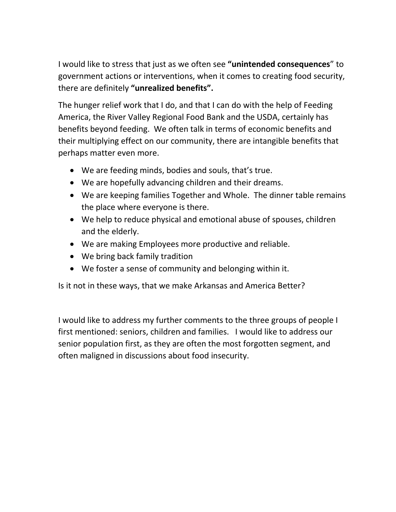I would like to stress that just as we often see **"unintended consequences**" to government actions or interventions, when it comes to creating food security, there are definitely **"unrealized benefits".**

The hunger relief work that I do, and that I can do with the help of Feeding America, the River Valley Regional Food Bank and the USDA, certainly has benefits beyond feeding. We often talk in terms of economic benefits and their multiplying effect on our community, there are intangible benefits that perhaps matter even more.

- We are feeding minds, bodies and souls, that's true.
- We are hopefully advancing children and their dreams.
- We are keeping families Together and Whole. The dinner table remains the place where everyone is there.
- We help to reduce physical and emotional abuse of spouses, children and the elderly.
- We are making Employees more productive and reliable.
- We bring back family tradition
- We foster a sense of community and belonging within it.

Is it not in these ways, that we make Arkansas and America Better?

I would like to address my further comments to the three groups of people I first mentioned: seniors, children and families. I would like to address our senior population first, as they are often the most forgotten segment, and often maligned in discussions about food insecurity.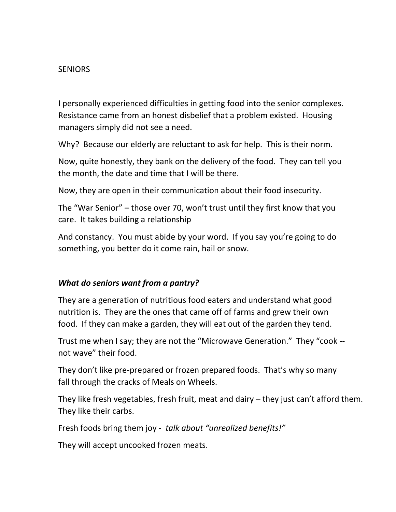## **SENIORS**

I personally experienced difficulties in getting food into the senior complexes. Resistance came from an honest disbelief that a problem existed. Housing managers simply did not see a need.

Why? Because our elderly are reluctant to ask for help. This is their norm.

Now, quite honestly, they bank on the delivery of the food. They can tell you the month, the date and time that I will be there.

Now, they are open in their communication about their food insecurity.

The "War Senior" – those over 70, won't trust until they first know that you care. It takes building a relationship

And constancy. You must abide by your word. If you say you're going to do something, you better do it come rain, hail or snow.

### *What do seniors want from a pantry?*

They are a generation of nutritious food eaters and understand what good nutrition is. They are the ones that came off of farms and grew their own food. If they can make a garden, they will eat out of the garden they tend.

Trust me when I say; they are not the "Microwave Generation." They "cook - not wave" their food.

They don't like pre-prepared or frozen prepared foods. That's why so many fall through the cracks of Meals on Wheels.

They like fresh vegetables, fresh fruit, meat and dairy – they just can't afford them. They like their carbs.

Fresh foods bring them joy - *talk about "unrealized benefits!"*

They will accept uncooked frozen meats.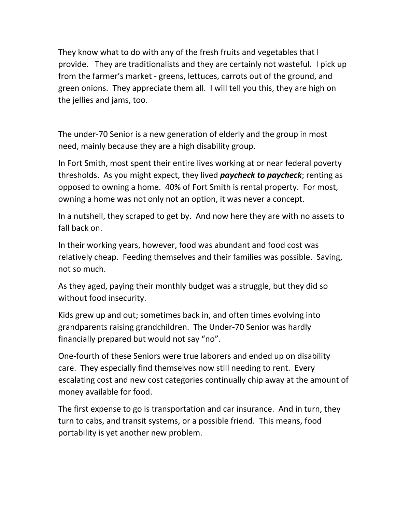They know what to do with any of the fresh fruits and vegetables that I provide. They are traditionalists and they are certainly not wasteful. I pick up from the farmer's market - greens, lettuces, carrots out of the ground, and green onions. They appreciate them all. I will tell you this, they are high on the jellies and jams, too.

The under-70 Senior is a new generation of elderly and the group in most need, mainly because they are a high disability group.

In Fort Smith, most spent their entire lives working at or near federal poverty thresholds. As you might expect, they lived *paycheck to paycheck*; renting as opposed to owning a home. 40% of Fort Smith is rental property. For most, owning a home was not only not an option, it was never a concept.

In a nutshell, they scraped to get by. And now here they are with no assets to fall back on.

In their working years, however, food was abundant and food cost was relatively cheap. Feeding themselves and their families was possible. Saving, not so much.

As they aged, paying their monthly budget was a struggle, but they did so without food insecurity.

Kids grew up and out; sometimes back in, and often times evolving into grandparents raising grandchildren. The Under-70 Senior was hardly financially prepared but would not say "no".

One-fourth of these Seniors were true laborers and ended up on disability care. They especially find themselves now still needing to rent. Every escalating cost and new cost categories continually chip away at the amount of money available for food.

The first expense to go is transportation and car insurance. And in turn, they turn to cabs, and transit systems, or a possible friend. This means, food portability is yet another new problem.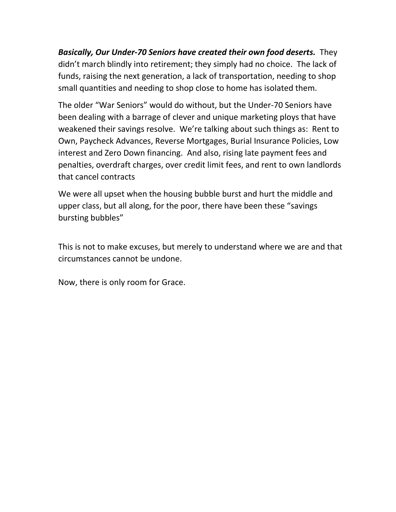*Basically, Our Under-70 Seniors have created their own food deserts.* They didn't march blindly into retirement; they simply had no choice. The lack of funds, raising the next generation, a lack of transportation, needing to shop small quantities and needing to shop close to home has isolated them.

The older "War Seniors" would do without, but the Under-70 Seniors have been dealing with a barrage of clever and unique marketing ploys that have weakened their savings resolve. We're talking about such things as: Rent to Own, Paycheck Advances, Reverse Mortgages, Burial Insurance Policies, Low interest and Zero Down financing. And also, rising late payment fees and penalties, overdraft charges, over credit limit fees, and rent to own landlords that cancel contracts

We were all upset when the housing bubble burst and hurt the middle and upper class, but all along, for the poor, there have been these "savings bursting bubbles"

This is not to make excuses, but merely to understand where we are and that circumstances cannot be undone.

Now, there is only room for Grace.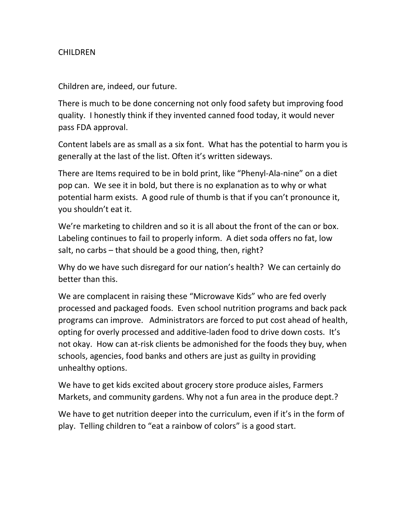## **CHILDREN**

Children are, indeed, our future.

There is much to be done concerning not only food safety but improving food quality. I honestly think if they invented canned food today, it would never pass FDA approval.

Content labels are as small as a six font. What has the potential to harm you is generally at the last of the list. Often it's written sideways.

There are Items required to be in bold print, like "Phenyl-Ala-nine" on a diet pop can. We see it in bold, but there is no explanation as to why or what potential harm exists. A good rule of thumb is that if you can't pronounce it, you shouldn't eat it.

We're marketing to children and so it is all about the front of the can or box. Labeling continues to fail to properly inform. A diet soda offers no fat, low salt, no carbs – that should be a good thing, then, right?

Why do we have such disregard for our nation's health? We can certainly do better than this.

We are complacent in raising these "Microwave Kids" who are fed overly processed and packaged foods. Even school nutrition programs and back pack programs can improve. Administrators are forced to put cost ahead of health, opting for overly processed and additive-laden food to drive down costs. It's not okay. How can at-risk clients be admonished for the foods they buy, when schools, agencies, food banks and others are just as guilty in providing unhealthy options.

We have to get kids excited about grocery store produce aisles, Farmers Markets, and community gardens. Why not a fun area in the produce dept.?

We have to get nutrition deeper into the curriculum, even if it's in the form of play. Telling children to "eat a rainbow of colors" is a good start.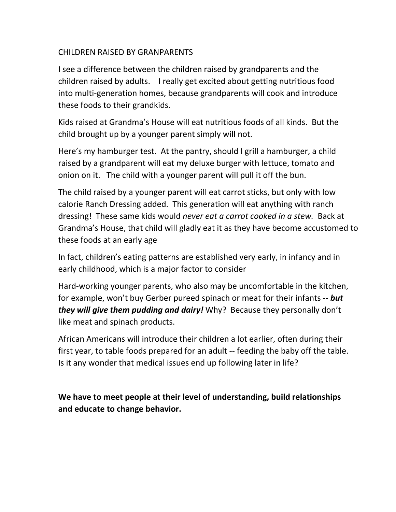## CHILDREN RAISED BY GRANPARENTS

I see a difference between the children raised by grandparents and the children raised by adults. I really get excited about getting nutritious food into multi-generation homes, because grandparents will cook and introduce these foods to their grandkids.

Kids raised at Grandma's House will eat nutritious foods of all kinds. But the child brought up by a younger parent simply will not.

Here's my hamburger test. At the pantry, should I grill a hamburger, a child raised by a grandparent will eat my deluxe burger with lettuce, tomato and onion on it. The child with a younger parent will pull it off the bun.

The child raised by a younger parent will eat carrot sticks, but only with low calorie Ranch Dressing added. This generation will eat anything with ranch dressing! These same kids would *never eat a carrot cooked in a stew.* Back at Grandma's House, that child will gladly eat it as they have become accustomed to these foods at an early age

In fact, children's eating patterns are established very early, in infancy and in early childhood, which is a major factor to consider

Hard-working younger parents, who also may be uncomfortable in the kitchen, for example, won't buy Gerber pureed spinach or meat for their infants -- *but they will give them pudding and dairy!* Why? Because they personally don't like meat and spinach products.

African Americans will introduce their children a lot earlier, often during their first year, to table foods prepared for an adult -- feeding the baby off the table. Is it any wonder that medical issues end up following later in life?

**We have to meet people at their level of understanding, build relationships and educate to change behavior.**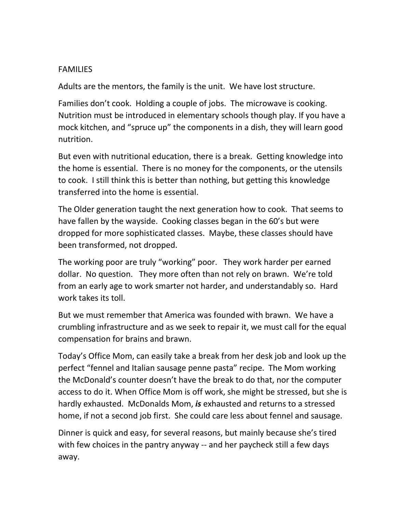## FAMILIES

Adults are the mentors, the family is the unit. We have lost structure.

Families don't cook. Holding a couple of jobs. The microwave is cooking. Nutrition must be introduced in elementary schools though play. If you have a mock kitchen, and "spruce up" the components in a dish, they will learn good nutrition.

But even with nutritional education, there is a break. Getting knowledge into the home is essential. There is no money for the components, or the utensils to cook. I still think this is better than nothing, but getting this knowledge transferred into the home is essential.

The Older generation taught the next generation how to cook. That seems to have fallen by the wayside. Cooking classes began in the 60's but were dropped for more sophisticated classes. Maybe, these classes should have been transformed, not dropped.

The working poor are truly "working" poor. They work harder per earned dollar. No question. They more often than not rely on brawn. We're told from an early age to work smarter not harder, and understandably so. Hard work takes its toll.

But we must remember that America was founded with brawn. We have a crumbling infrastructure and as we seek to repair it, we must call for the equal compensation for brains and brawn.

Today's Office Mom, can easily take a break from her desk job and look up the perfect "fennel and Italian sausage penne pasta" recipe. The Mom working the McDonald's counter doesn't have the break to do that, nor the computer access to do it. When Office Mom is off work, she might be stressed, but she is hardly exhausted. McDonalds Mom, *is* exhausted and returns to a stressed home, if not a second job first. She could care less about fennel and sausage.

Dinner is quick and easy, for several reasons, but mainly because she's tired with few choices in the pantry anyway -- and her paycheck still a few days away.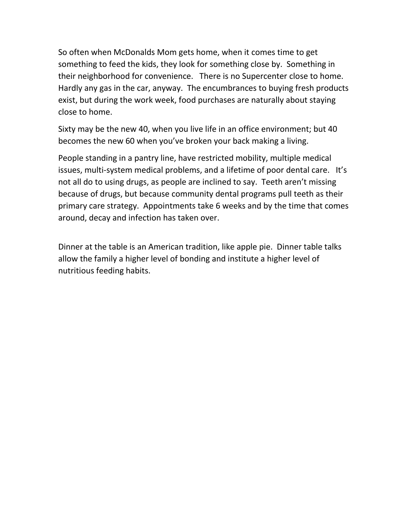So often when McDonalds Mom gets home, when it comes time to get something to feed the kids, they look for something close by. Something in their neighborhood for convenience. There is no Supercenter close to home. Hardly any gas in the car, anyway. The encumbrances to buying fresh products exist, but during the work week, food purchases are naturally about staying close to home.

Sixty may be the new 40, when you live life in an office environment; but 40 becomes the new 60 when you've broken your back making a living.

People standing in a pantry line, have restricted mobility, multiple medical issues, multi-system medical problems, and a lifetime of poor dental care. It's not all do to using drugs, as people are inclined to say. Teeth aren't missing because of drugs, but because community dental programs pull teeth as their primary care strategy. Appointments take 6 weeks and by the time that comes around, decay and infection has taken over.

Dinner at the table is an American tradition, like apple pie. Dinner table talks allow the family a higher level of bonding and institute a higher level of nutritious feeding habits.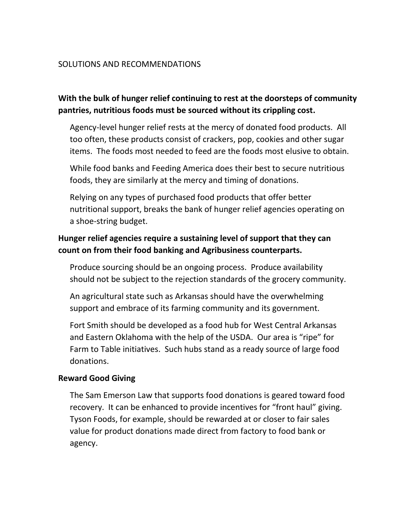## SOLUTIONS AND RECOMMENDATIONS

# **With the bulk of hunger relief continuing to rest at the doorsteps of community pantries, nutritious foods must be sourced without its crippling cost.**

Agency-level hunger relief rests at the mercy of donated food products. All too often, these products consist of crackers, pop, cookies and other sugar items. The foods most needed to feed are the foods most elusive to obtain.

While food banks and Feeding America does their best to secure nutritious foods, they are similarly at the mercy and timing of donations.

Relying on any types of purchased food products that offer better nutritional support, breaks the bank of hunger relief agencies operating on a shoe-string budget.

## **Hunger relief agencies require a sustaining level of support that they can count on from their food banking and Agribusiness counterparts.**

Produce sourcing should be an ongoing process. Produce availability should not be subject to the rejection standards of the grocery community.

An agricultural state such as Arkansas should have the overwhelming support and embrace of its farming community and its government.

Fort Smith should be developed as a food hub for West Central Arkansas and Eastern Oklahoma with the help of the USDA. Our area is "ripe" for Farm to Table initiatives. Such hubs stand as a ready source of large food donations.

### **Reward Good Giving**

The Sam Emerson Law that supports food donations is geared toward food recovery. It can be enhanced to provide incentives for "front haul" giving. Tyson Foods, for example, should be rewarded at or closer to fair sales value for product donations made direct from factory to food bank or agency.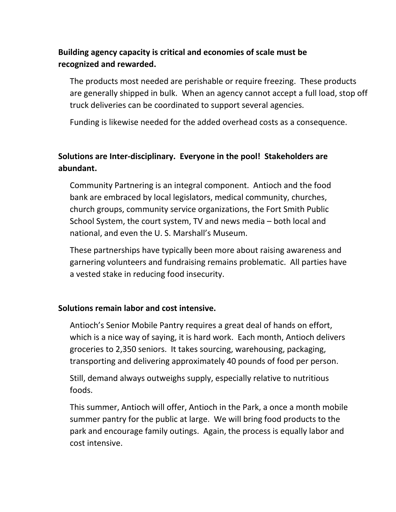## **Building agency capacity is critical and economies of scale must be recognized and rewarded.**

The products most needed are perishable or require freezing. These products are generally shipped in bulk. When an agency cannot accept a full load, stop off truck deliveries can be coordinated to support several agencies.

Funding is likewise needed for the added overhead costs as a consequence.

# **Solutions are Inter-disciplinary. Everyone in the pool! Stakeholders are abundant.**

Community Partnering is an integral component. Antioch and the food bank are embraced by local legislators, medical community, churches, church groups, community service organizations, the Fort Smith Public School System, the court system, TV and news media – both local and national, and even the U. S. Marshall's Museum.

These partnerships have typically been more about raising awareness and garnering volunteers and fundraising remains problematic. All parties have a vested stake in reducing food insecurity.

### **Solutions remain labor and cost intensive.**

Antioch's Senior Mobile Pantry requires a great deal of hands on effort, which is a nice way of saying, it is hard work. Each month, Antioch delivers groceries to 2,350 seniors. It takes sourcing, warehousing, packaging, transporting and delivering approximately 40 pounds of food per person.

Still, demand always outweighs supply, especially relative to nutritious foods.

This summer, Antioch will offer, Antioch in the Park, a once a month mobile summer pantry for the public at large. We will bring food products to the park and encourage family outings. Again, the process is equally labor and cost intensive.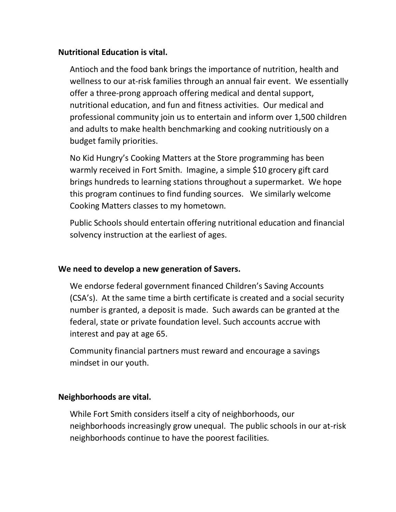#### **Nutritional Education is vital.**

Antioch and the food bank brings the importance of nutrition, health and wellness to our at-risk families through an annual fair event. We essentially offer a three-prong approach offering medical and dental support, nutritional education, and fun and fitness activities. Our medical and professional community join us to entertain and inform over 1,500 children and adults to make health benchmarking and cooking nutritiously on a budget family priorities.

No Kid Hungry's Cooking Matters at the Store programming has been warmly received in Fort Smith. Imagine, a simple \$10 grocery gift card brings hundreds to learning stations throughout a supermarket. We hope this program continues to find funding sources. We similarly welcome Cooking Matters classes to my hometown.

Public Schools should entertain offering nutritional education and financial solvency instruction at the earliest of ages.

### **We need to develop a new generation of Savers.**

We endorse federal government financed Children's Saving Accounts (CSA's). At the same time a birth certificate is created and a social security number is granted, a deposit is made. Such awards can be granted at the federal, state or private foundation level. Such accounts accrue with interest and pay at age 65.

Community financial partners must reward and encourage a savings mindset in our youth.

#### **Neighborhoods are vital.**

While Fort Smith considers itself a city of neighborhoods, our neighborhoods increasingly grow unequal. The public schools in our at-risk neighborhoods continue to have the poorest facilities.